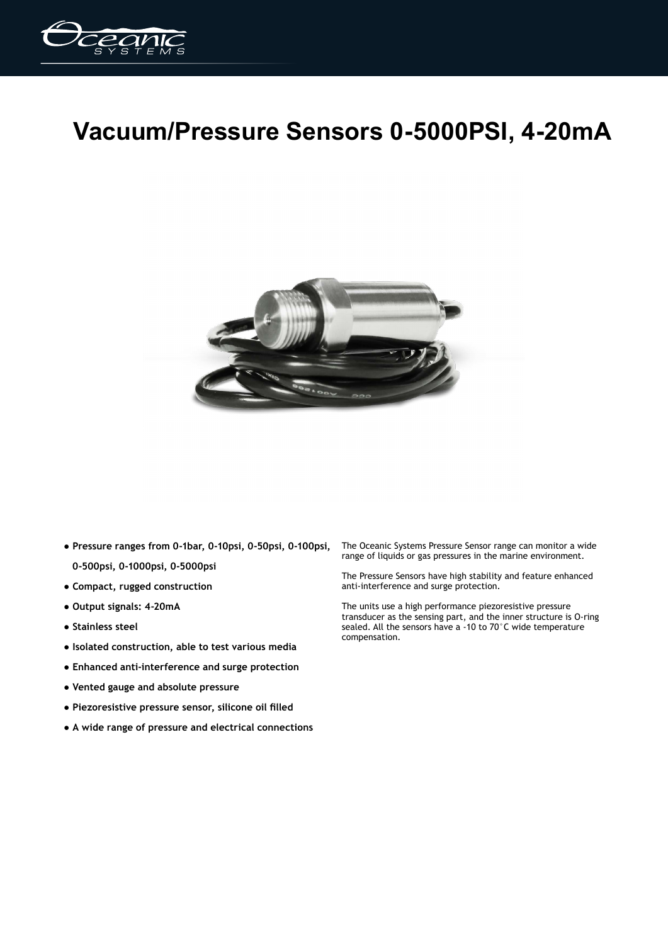

## **Vacuum/Pressure Sensors 0-5000PSI, 4-20mA**



- **Pressure ranges from 0-1bar, 0-10psi, 0-50psi, 0-100psi, 0-500psi, 0-1000psi, 0-5000psi**
- **Compact, rugged construction**
- **Output signals: 4-20mA**
- **Stainless steel**
- **Isolated construction, able to test various media**
- **Enhanced anti-interference and surge protection**
- **Vented gauge and absolute pressure**
- **Piezoresistive pressure sensor, silicone oil filled**
- **A wide range of pressure and electrical connections**

The Oceanic Systems Pressure Sensor range can monitor a wide range of liquids or gas pressures in the marine environment.

The Pressure Sensors have high stability and feature enhanced anti-interference and surge protection.

The units use a high performance piezoresistive pressure transducer as the sensing part, and the inner structure is O-ring sealed. All the sensors have a -10 to 70°C wide temperature compensation.